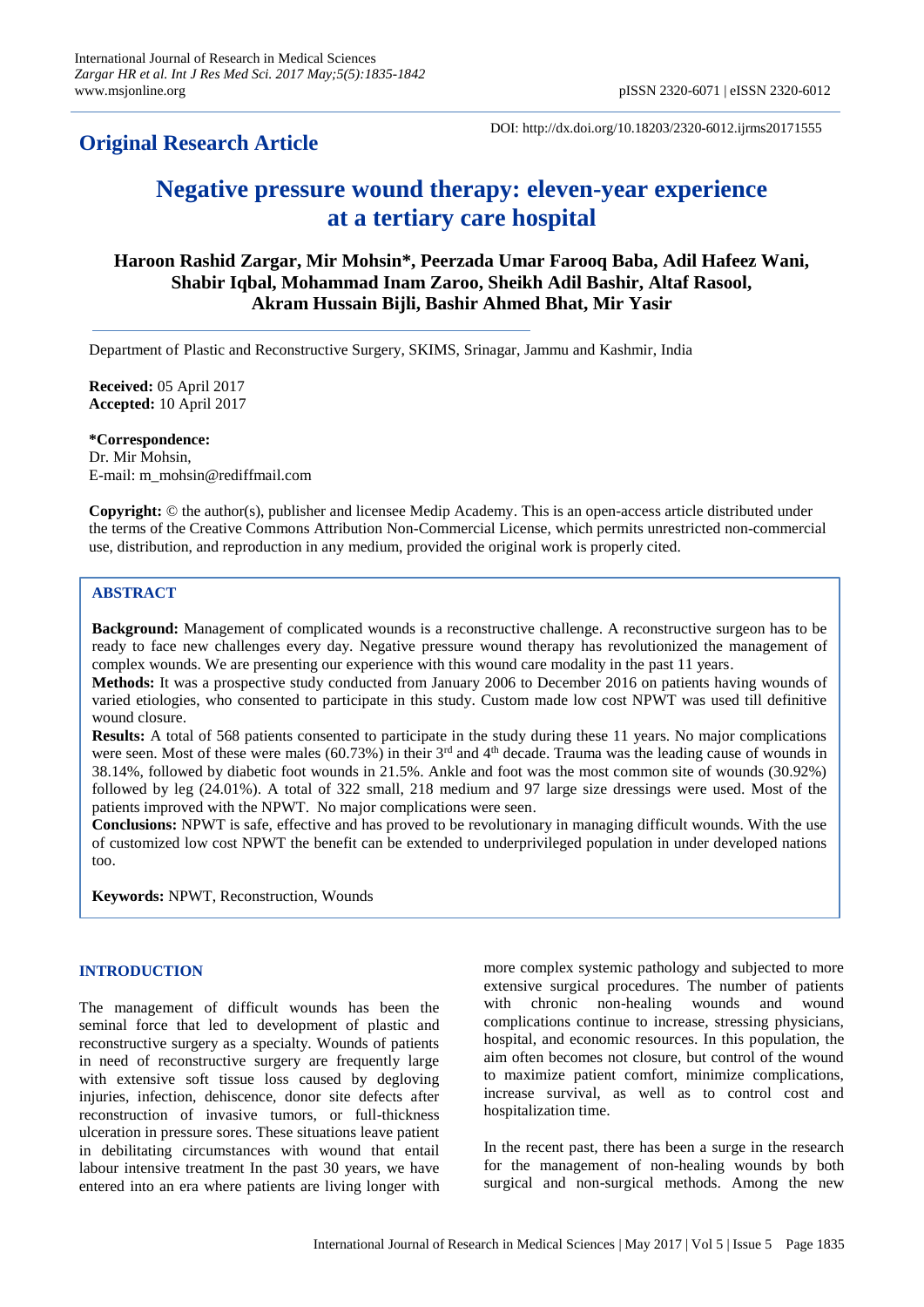# **Original Research Article**

DOI: http://dx.doi.org/10.18203/2320-6012.ijrms20171555

# **Negative pressure wound therapy: eleven-year experience at a tertiary care hospital**

# **Haroon Rashid Zargar, Mir Mohsin\*, Peerzada Umar Farooq Baba, Adil Hafeez Wani, Shabir Iqbal, Mohammad Inam Zaroo, Sheikh Adil Bashir, Altaf Rasool, Akram Hussain Bijli, Bashir Ahmed Bhat, Mir Yasir**

Department of Plastic and Reconstructive Surgery, SKIMS, Srinagar, Jammu and Kashmir, India

**Received:** 05 April 2017 **Accepted:** 10 April 2017

## **\*Correspondence:**

Dr. Mir Mohsin, E-mail: m\_mohsin@rediffmail.com

**Copyright:** © the author(s), publisher and licensee Medip Academy. This is an open-access article distributed under the terms of the Creative Commons Attribution Non-Commercial License, which permits unrestricted non-commercial use, distribution, and reproduction in any medium, provided the original work is properly cited.

# **ABSTRACT**

**Background:** Management of complicated wounds is a reconstructive challenge. A reconstructive surgeon has to be ready to face new challenges every day. Negative pressure wound therapy has revolutionized the management of complex wounds. We are presenting our experience with this wound care modality in the past 11 years.

**Methods:** It was a prospective study conducted from January 2006 to December 2016 on patients having wounds of varied etiologies, who consented to participate in this study. Custom made low cost NPWT was used till definitive wound closure.

**Results:** A total of 568 patients consented to participate in the study during these 11 years. No major complications were seen. Most of these were males (60.73%) in their 3<sup>rd</sup> and 4<sup>th</sup> decade. Trauma was the leading cause of wounds in 38.14%, followed by diabetic foot wounds in 21.5%. Ankle and foot was the most common site of wounds (30.92%) followed by leg (24.01%). A total of 322 small, 218 medium and 97 large size dressings were used. Most of the patients improved with the NPWT. No major complications were seen.

**Conclusions:** NPWT is safe, effective and has proved to be revolutionary in managing difficult wounds. With the use of customized low cost NPWT the benefit can be extended to underprivileged population in under developed nations too.

**Keywords:** NPWT, Reconstruction, Wounds

# **INTRODUCTION**

The management of difficult wounds has been the seminal force that led to development of plastic and reconstructive surgery as a specialty. Wounds of patients in need of reconstructive surgery are frequently large with extensive soft tissue loss caused by degloving injuries, infection, dehiscence, donor site defects after reconstruction of invasive tumors, or full-thickness ulceration in pressure sores. These situations leave patient in debilitating circumstances with wound that entail labour intensive treatment In the past 30 years, we have entered into an era where patients are living longer with more complex systemic pathology and subjected to more extensive surgical procedures. The number of patients with chronic non-healing wounds and wound complications continue to increase, stressing physicians, hospital, and economic resources. In this population, the aim often becomes not closure, but control of the wound to maximize patient comfort, minimize complications, increase survival, as well as to control cost and hospitalization time.

In the recent past, there has been a surge in the research for the management of non-healing wounds by both surgical and non-surgical methods. Among the new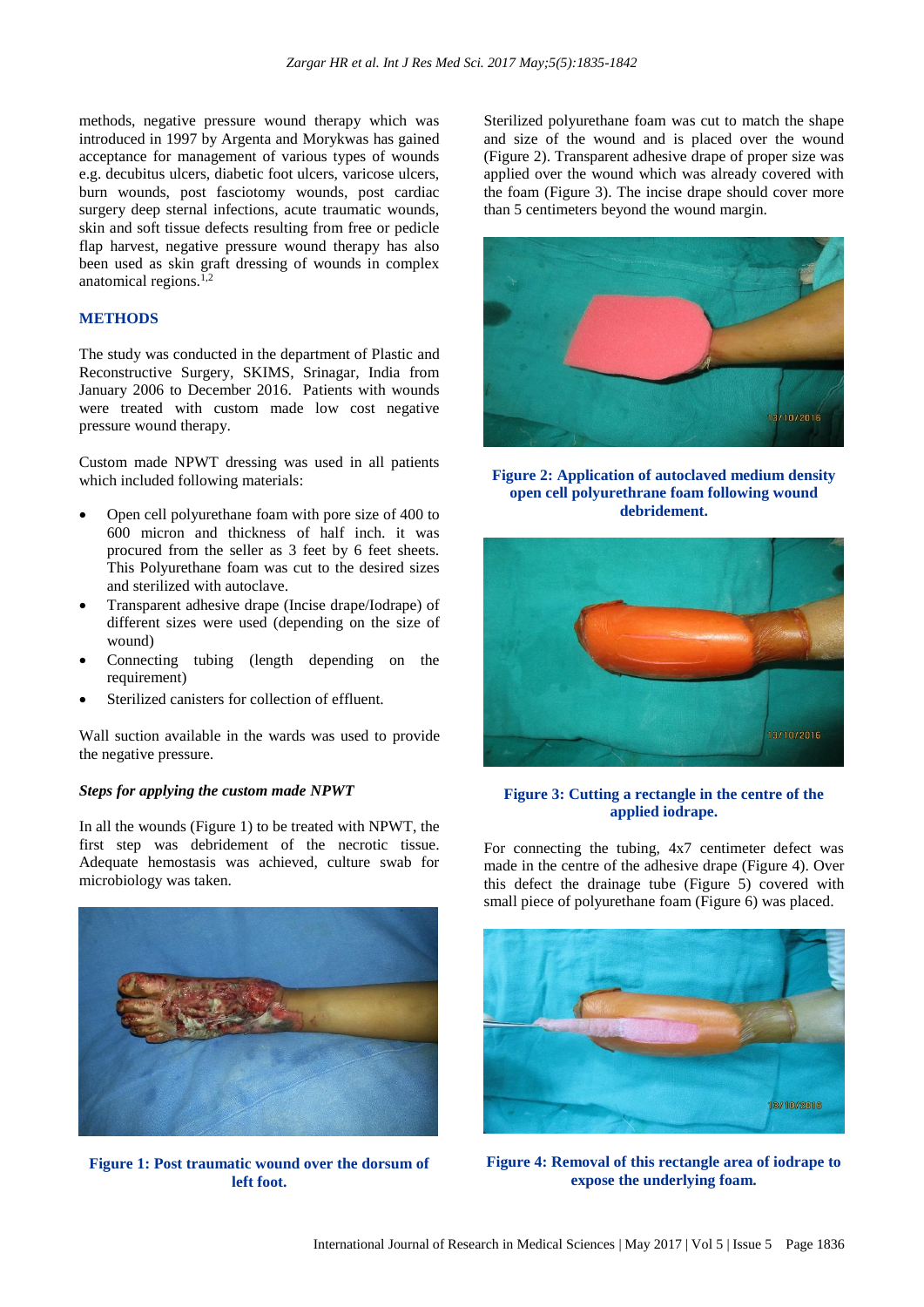methods, negative pressure wound therapy which was introduced in 1997 by Argenta and Morykwas has gained acceptance for management of various types of wounds e.g. decubitus ulcers, diabetic foot ulcers, varicose ulcers, burn wounds, post fasciotomy wounds, post cardiac surgery deep sternal infections, acute traumatic wounds, skin and soft tissue defects resulting from free or pedicle flap harvest, negative pressure wound therapy has also been used as skin graft dressing of wounds in complex anatomical regions. $1,2$ 

#### **METHODS**

The study was conducted in the department of Plastic and Reconstructive Surgery, SKIMS, Srinagar, India from January 2006 to December 2016. Patients with wounds were treated with custom made low cost negative pressure wound therapy.

Custom made NPWT dressing was used in all patients which included following materials:

- Open cell polyurethane foam with pore size of 400 to 600 micron and thickness of half inch. it was procured from the seller as 3 feet by 6 feet sheets. This Polyurethane foam was cut to the desired sizes and sterilized with autoclave.
- Transparent adhesive drape (Incise drape/Iodrape) of different sizes were used (depending on the size of wound)
- Connecting tubing (length depending on the requirement)
- Sterilized canisters for collection of effluent.

Wall suction available in the wards was used to provide the negative pressure.

#### *Steps for applying the custom made NPWT*

In all the wounds (Figure 1) to be treated with NPWT, the first step was debridement of the necrotic tissue. Adequate hemostasis was achieved, culture swab for microbiology was taken.



**Figure 1: Post traumatic wound over the dorsum of left foot.**

Sterilized polyurethane foam was cut to match the shape and size of the wound and is placed over the wound (Figure 2). Transparent adhesive drape of proper size was applied over the wound which was already covered with the foam (Figure 3). The incise drape should cover more than 5 centimeters beyond the wound margin.



**Figure 2: Application of autoclaved medium density open cell polyurethrane foam following wound debridement.**



#### **Figure 3: Cutting a rectangle in the centre of the applied iodrape.**

For connecting the tubing, 4x7 centimeter defect was made in the centre of the adhesive drape (Figure 4). Over this defect the drainage tube (Figure 5) covered with small piece of polyurethane foam (Figure 6) was placed.



**Figure 4: Removal of this rectangle area of iodrape to expose the underlying foam.**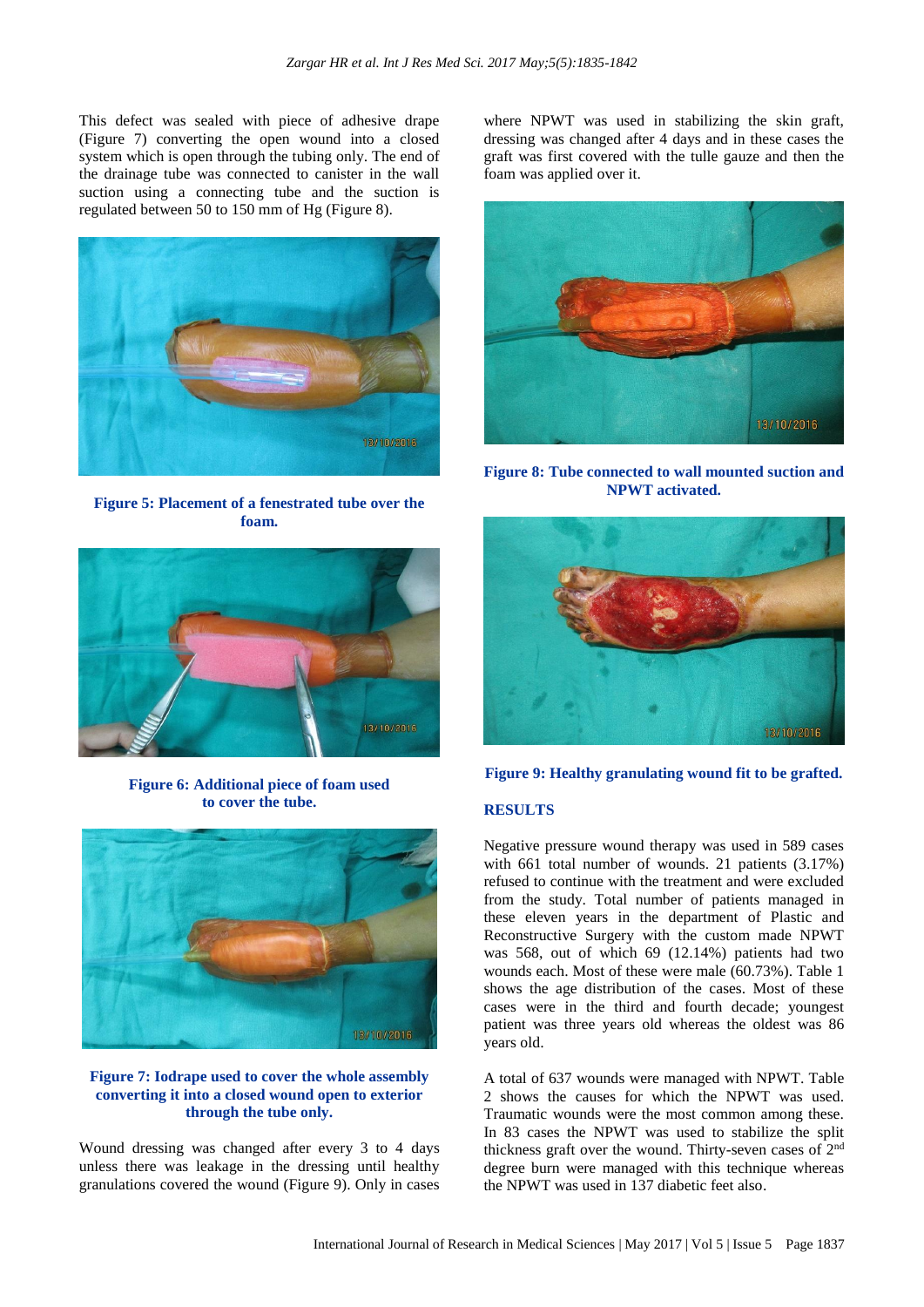This defect was sealed with piece of adhesive drape (Figure 7) converting the open wound into a closed system which is open through the tubing only. The end of the drainage tube was connected to canister in the wall suction using a connecting tube and the suction is regulated between 50 to 150 mm of Hg (Figure 8).



**Figure 5: Placement of a fenestrated tube over the foam.**



**Figure 6: Additional piece of foam used to cover the tube.**



# **Figure 7: Iodrape used to cover the whole assembly converting it into a closed wound open to exterior through the tube only.**

Wound dressing was changed after every 3 to 4 days unless there was leakage in the dressing until healthy granulations covered the wound (Figure 9). Only in cases where NPWT was used in stabilizing the skin graft, dressing was changed after 4 days and in these cases the graft was first covered with the tulle gauze and then the foam was applied over it.



**Figure 8: Tube connected to wall mounted suction and NPWT activated.**



**Figure 9: Healthy granulating wound fit to be grafted.**

# **RESULTS**

Negative pressure wound therapy was used in 589 cases with 661 total number of wounds. 21 patients (3.17%) refused to continue with the treatment and were excluded from the study. Total number of patients managed in these eleven years in the department of Plastic and Reconstructive Surgery with the custom made NPWT was 568, out of which 69 (12.14%) patients had two wounds each. Most of these were male (60.73%). Table 1 shows the age distribution of the cases. Most of these cases were in the third and fourth decade; youngest patient was three years old whereas the oldest was 86 years old.

A total of 637 wounds were managed with NPWT. Table 2 shows the causes for which the NPWT was used. Traumatic wounds were the most common among these. In 83 cases the NPWT was used to stabilize the split thickness graft over the wound. Thirty-seven cases of 2nd degree burn were managed with this technique whereas the NPWT was used in 137 diabetic feet also.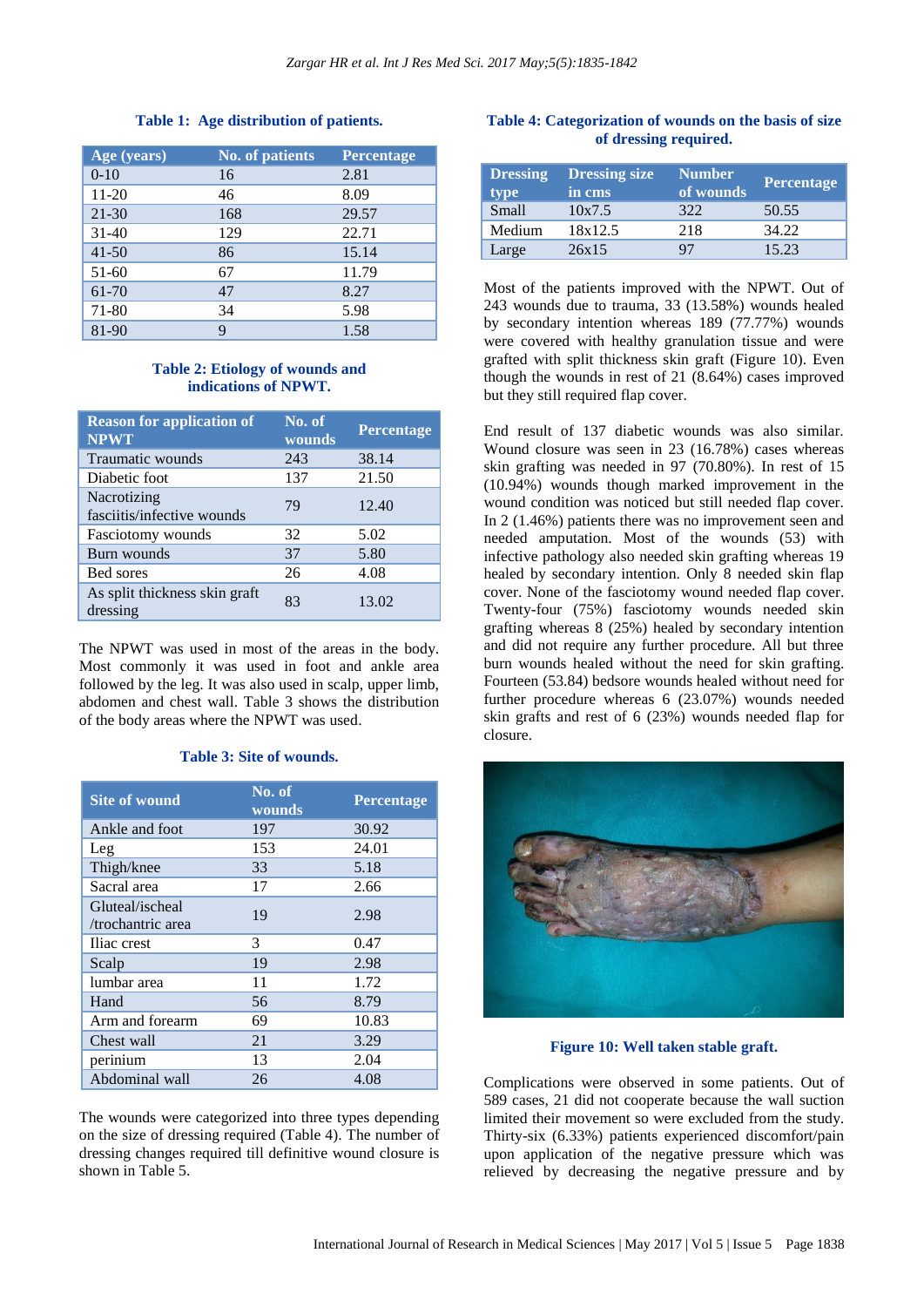# **Table 1: Age distribution of patients.**

| Age (years) | <b>No. of patients</b> | Percentage |
|-------------|------------------------|------------|
| $0 - 10$    | 16                     | 2.81       |
| $11 - 20$   | 46                     | 8.09       |
| $21 - 30$   | 168                    | 29.57      |
| $31 - 40$   | 129                    | 22.71      |
| $41 - 50$   | 86                     | 15.14      |
| $51-60$     | 67                     | 11.79      |
| 61-70       | 47                     | 8.27       |
| 71-80       | 34                     | 5.98       |
| 81-90       | 9                      | 1.58       |

# **Table 2: Etiology of wounds and indications of NPWT.**

| <b>Reason for application of</b><br><b>NPWT</b> | No. of<br>wounds | <b>Percentage</b> |
|-------------------------------------------------|------------------|-------------------|
| Traumatic wounds                                | 243              | 38.14             |
| Diabetic foot                                   | 137              | 21.50             |
| Nacrotizing<br>fasciitis/infective wounds       | 79               | 12.40             |
| Fasciotomy wounds                               | 32               | 5.02              |
| Burn wounds                                     | 37               | 5.80              |
| Bed sores                                       | 26               | 4.08              |
| As split thickness skin graft<br>dressing       | 83               | 13.02             |

The NPWT was used in most of the areas in the body. Most commonly it was used in foot and ankle area followed by the leg. It was also used in scalp, upper limb, abdomen and chest wall. Table 3 shows the distribution of the body areas where the NPWT was used.

#### **Table 3: Site of wounds.**

| <b>Site of wound</b>                 | No. of<br>wounds | Percentage |
|--------------------------------------|------------------|------------|
| Ankle and foot                       | 197              | 30.92      |
| Leg                                  | 153              | 24.01      |
| Thigh/knee                           | 33               | 5.18       |
| Sacral area                          | 17               | 2.66       |
| Gluteal/ischeal<br>/trochantric area | 19               | 2.98       |
| Iliac crest                          | 3                | 0.47       |
| Scalp                                | 19               | 2.98       |
| lumbar area                          | 11               | 1.72       |
| Hand                                 | 56               | 8.79       |
| Arm and forearm                      | 69               | 10.83      |
| Chest wall                           | 21               | 3.29       |
| perinium                             | 13               | 2.04       |
| Abdominal wall                       | 26               | 4.08       |

The wounds were categorized into three types depending on the size of dressing required (Table 4). The number of dressing changes required till definitive wound closure is shown in Table 5.

# **Table 4: Categorization of wounds on the basis of size of dressing required.**

| <b>Dressing</b><br>type | <b>Dressing size</b><br>in cms | <b>Number</b><br>of wounds | <b>Percentage</b> |
|-------------------------|--------------------------------|----------------------------|-------------------|
| <b>Small</b>            | 10x7.5                         | 322                        | 50.55             |
| Medium                  | 18x12.5                        | 218                        | 34.22             |
| Large                   | 26x15                          | 97                         | 15.23             |

Most of the patients improved with the NPWT. Out of 243 wounds due to trauma, 33 (13.58%) wounds healed by secondary intention whereas 189 (77.77%) wounds were covered with healthy granulation tissue and were grafted with split thickness skin graft (Figure 10). Even though the wounds in rest of 21 (8.64%) cases improved but they still required flap cover.

End result of 137 diabetic wounds was also similar. Wound closure was seen in 23 (16.78%) cases whereas skin grafting was needed in 97 (70.80%). In rest of 15 (10.94%) wounds though marked improvement in the wound condition was noticed but still needed flap cover. In 2 (1.46%) patients there was no improvement seen and needed amputation. Most of the wounds (53) with infective pathology also needed skin grafting whereas 19 healed by secondary intention. Only 8 needed skin flap cover. None of the fasciotomy wound needed flap cover. Twenty-four (75%) fasciotomy wounds needed skin grafting whereas 8 (25%) healed by secondary intention and did not require any further procedure. All but three burn wounds healed without the need for skin grafting. Fourteen (53.84) bedsore wounds healed without need for further procedure whereas 6 (23.07%) wounds needed skin grafts and rest of 6 (23%) wounds needed flap for closure.



**Figure 10: Well taken stable graft.**

Complications were observed in some patients. Out of 589 cases, 21 did not cooperate because the wall suction limited their movement so were excluded from the study. Thirty-six (6.33%) patients experienced discomfort/pain upon application of the negative pressure which was relieved by decreasing the negative pressure and by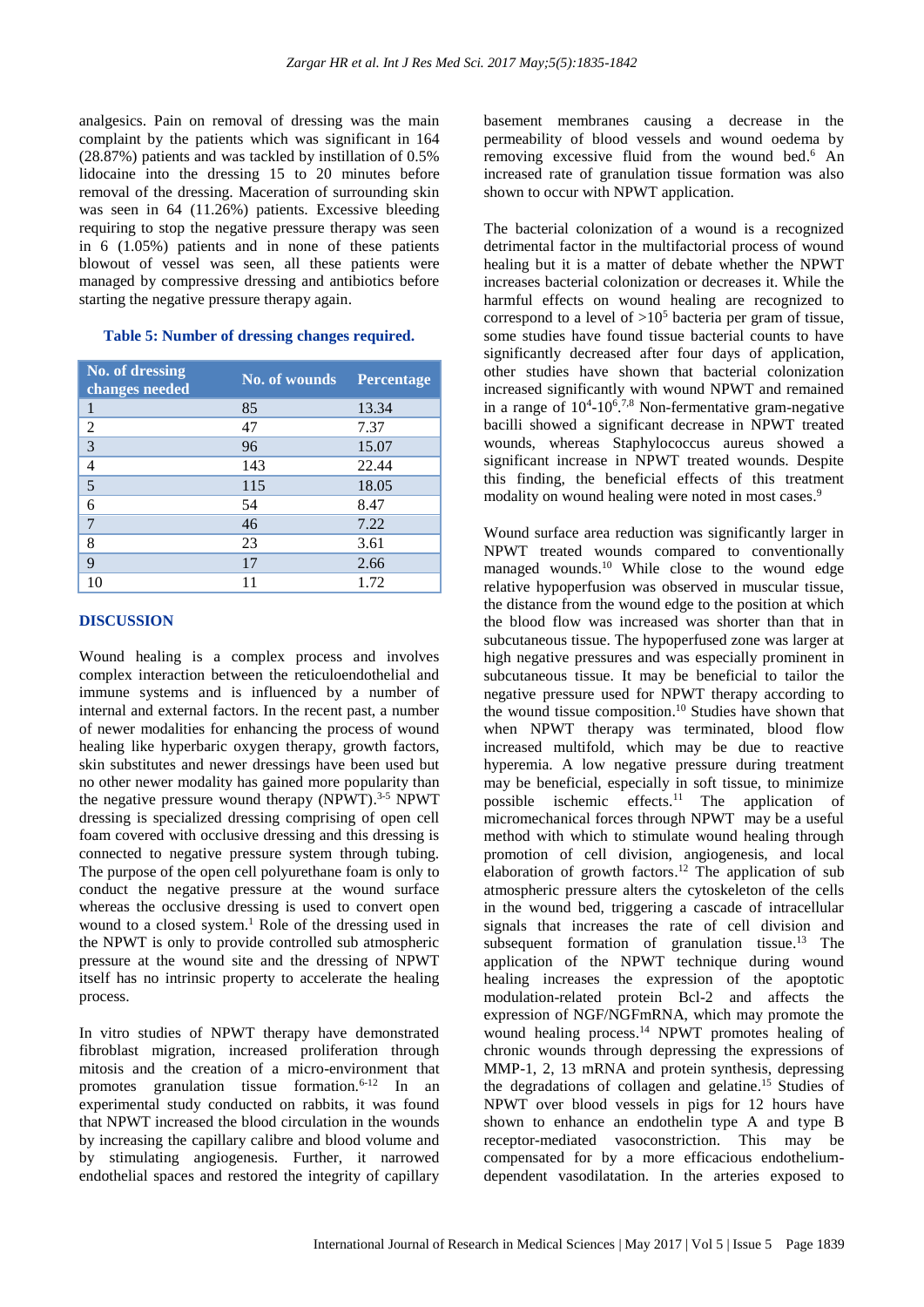analgesics. Pain on removal of dressing was the main complaint by the patients which was significant in 164 (28.87%) patients and was tackled by instillation of 0.5% lidocaine into the dressing 15 to 20 minutes before removal of the dressing. Maceration of surrounding skin was seen in 64 (11.26%) patients. Excessive bleeding requiring to stop the negative pressure therapy was seen in 6 (1.05%) patients and in none of these patients blowout of vessel was seen, all these patients were managed by compressive dressing and antibiotics before starting the negative pressure therapy again.

#### **Table 5: Number of dressing changes required.**

| <b>No. of dressing</b><br>changes needed | <b>No. of wounds</b> | <b>Percentage</b> |
|------------------------------------------|----------------------|-------------------|
|                                          | 85                   | 13.34             |
| 2                                        | 47                   | 7.37              |
| 3                                        | 96                   | 15.07             |
| $\overline{4}$                           | 143                  | 22.44             |
| 5                                        | 115                  | 18.05             |
| 6                                        | 54                   | 8.47              |
| 7                                        | 46                   | 7.22              |
| 8                                        | 23                   | 3.61              |
| 9                                        | 17                   | 2.66              |
|                                          |                      | 1.72              |

## **DISCUSSION**

Wound healing is a complex process and involves complex interaction between the reticuloendothelial and immune systems and is influenced by a number of internal and external factors. In the recent past, a number of newer modalities for enhancing the process of wound healing like hyperbaric oxygen therapy, growth factors, skin substitutes and newer dressings have been used but no other newer modality has gained more popularity than the negative pressure wound therapy (NPWT). 3-5 NPWT dressing is specialized dressing comprising of open cell foam covered with occlusive dressing and this dressing is connected to negative pressure system through tubing. The purpose of the open cell polyurethane foam is only to conduct the negative pressure at the wound surface whereas the occlusive dressing is used to convert open wound to a closed system. <sup>1</sup> Role of the dressing used in the NPWT is only to provide controlled sub atmospheric pressure at the wound site and the dressing of NPWT itself has no intrinsic property to accelerate the healing process.

In vitro studies of NPWT therapy have demonstrated fibroblast migration, increased proliferation through mitosis and the creation of a micro-environment that promotes granulation tissue formation.6-12 In an experimental study conducted on rabbits, it was found that NPWT increased the blood circulation in the wounds by increasing the capillary calibre and blood volume and by stimulating angiogenesis. Further, it narrowed endothelial spaces and restored the integrity of capillary

basement membranes causing a decrease in the permeability of blood vessels and wound oedema by removing excessive fluid from the wound bed.<sup>6</sup> An increased rate of granulation tissue formation was also shown to occur with NPWT application.

The bacterial colonization of a wound is a recognized detrimental factor in the multifactorial process of wound healing but it is a matter of debate whether the NPWT increases bacterial colonization or decreases it. While the harmful effects on wound healing are recognized to correspond to a level of  $>10^5$  bacteria per gram of tissue. some studies have found tissue bacterial counts to have significantly decreased after four days of application, other studies have shown that bacterial colonization increased significantly with wound NPWT and remained in a range of  $10^{4}$ - $10^{6}$ .<sup>7,8</sup> Non-fermentative gram-negative bacilli showed a significant decrease in NPWT treated wounds, whereas Staphylococcus aureus showed a significant increase in NPWT treated wounds. Despite this finding, the beneficial effects of this treatment modality on wound healing were noted in most cases.<sup>9</sup>

Wound surface area reduction was significantly larger in NPWT treated wounds compared to conventionally managed wounds. <sup>10</sup> While close to the wound edge relative hypoperfusion was observed in muscular tissue, the distance from the wound edge to the position at which the blood flow was increased was shorter than that in subcutaneous tissue. The hypoperfused zone was larger at high negative pressures and was especially prominent in subcutaneous tissue. It may be beneficial to tailor the negative pressure used for NPWT therapy according to the wound tissue composition. <sup>10</sup> Studies have shown that when NPWT therapy was terminated, blood flow increased multifold, which may be due to reactive hyperemia. A low negative pressure during treatment may be beneficial, especially in soft tissue, to minimize possible ischemic effects. <sup>11</sup> The application of micromechanical forces through NPWT may be a useful method with which to stimulate wound healing through promotion of cell division, angiogenesis, and local elaboration of growth factors.<sup>12</sup> The application of sub atmospheric pressure alters the cytoskeleton of the cells in the wound bed, triggering a cascade of intracellular signals that increases the rate of cell division and subsequent formation of granulation tissue. <sup>13</sup> The application of the NPWT technique during wound healing increases the expression of the apoptotic modulation-related protein Bcl-2 and affects the expression of NGF/NGFmRNA, which may promote the wound healing process. <sup>14</sup> NPWT promotes healing of chronic wounds through depressing the expressions of MMP-1, 2, 13 mRNA and protein synthesis, depressing the degradations of collagen and gelatine. <sup>15</sup> Studies of NPWT over blood vessels in pigs for 12 hours have shown to enhance an endothelin type A and type B receptor-mediated vasoconstriction. This may be compensated for by a more efficacious endotheliumdependent vasodilatation. In the arteries exposed to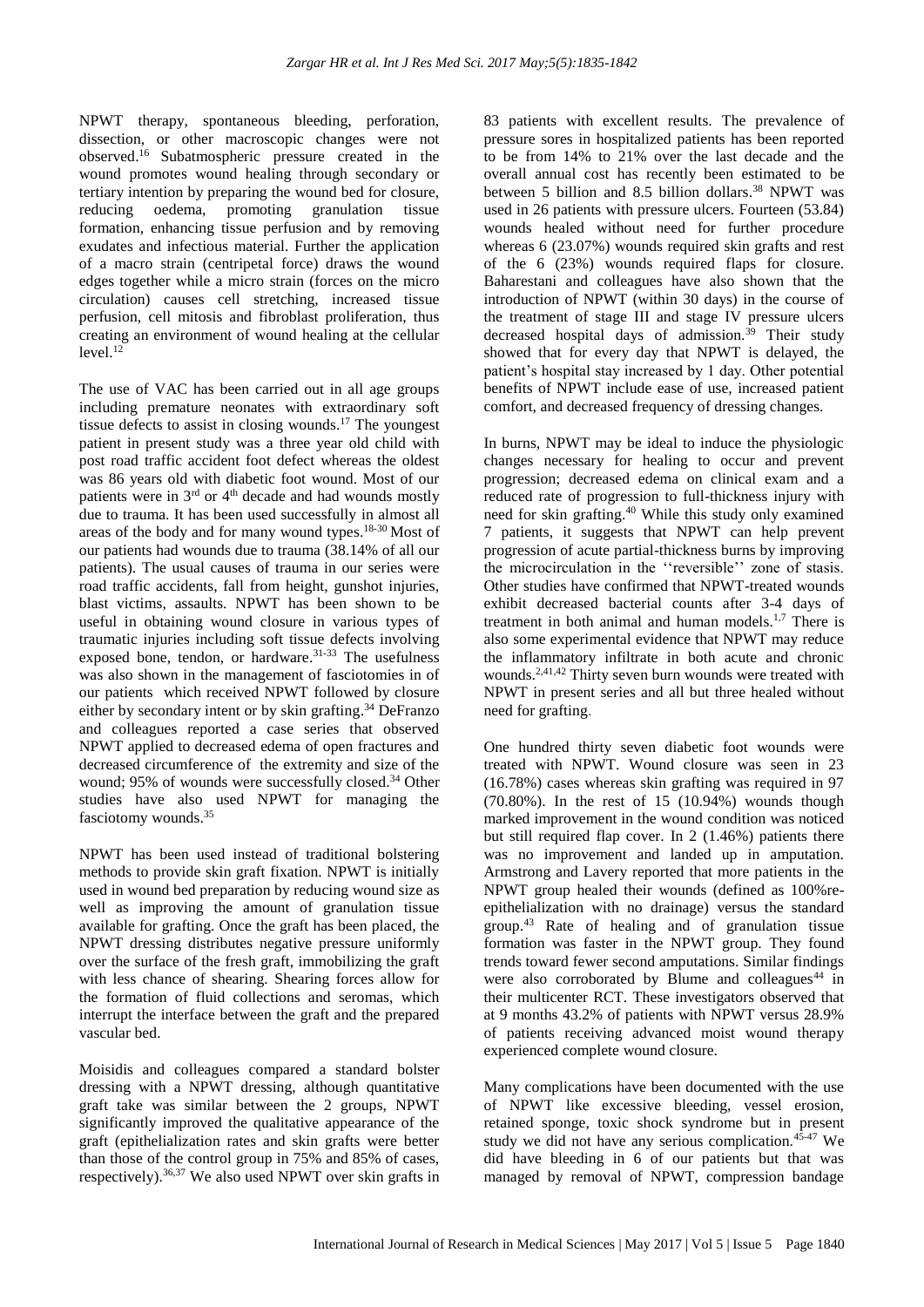NPWT therapy, spontaneous bleeding, perforation, dissection, or other macroscopic changes were not observed. <sup>16</sup> Subatmospheric pressure created in the wound promotes wound healing through secondary or tertiary intention by preparing the wound bed for closure, reducing oedema, promoting granulation tissue formation, enhancing tissue perfusion and by removing exudates and infectious material. Further the application of a macro strain (centripetal force) draws the wound edges together while a micro strain (forces on the micro circulation) causes cell stretching, increased tissue perfusion, cell mitosis and fibroblast proliferation, thus creating an environment of wound healing at the cellular level. 12

The use of VAC has been carried out in all age groups including premature neonates with extraordinary soft tissue defects to assist in closing wounds. <sup>17</sup> The youngest patient in present study was a three year old child with post road traffic accident foot defect whereas the oldest was 86 years old with diabetic foot wound. Most of our patients were in  $3<sup>rd</sup>$  or  $4<sup>th</sup>$  decade and had wounds mostly due to trauma. It has been used successfully in almost all areas of the body and for many wound types. 18-30 Most of our patients had wounds due to trauma (38.14% of all our patients). The usual causes of trauma in our series were road traffic accidents, fall from height, gunshot injuries, blast victims, assaults. NPWT has been shown to be useful in obtaining wound closure in various types of traumatic injuries including soft tissue defects involving exposed bone, tendon, or hardware. 31-33 The usefulness was also shown in the management of fasciotomies in of our patients which received NPWT followed by closure either by secondary intent or by skin grafting. <sup>34</sup> DeFranzo and colleagues reported a case series that observed NPWT applied to decreased edema of open fractures and decreased circumference of the extremity and size of the wound; 95% of wounds were successfully closed.<sup>34</sup> Other studies have also used NPWT for managing the fasciotomy wounds. 35

NPWT has been used instead of traditional bolstering methods to provide skin graft fixation. NPWT is initially used in wound bed preparation by reducing wound size as well as improving the amount of granulation tissue available for grafting. Once the graft has been placed, the NPWT dressing distributes negative pressure uniformly over the surface of the fresh graft, immobilizing the graft with less chance of shearing. Shearing forces allow for the formation of fluid collections and seromas, which interrupt the interface between the graft and the prepared vascular bed.

Moisidis and colleagues compared a standard bolster dressing with a NPWT dressing, although quantitative graft take was similar between the 2 groups, NPWT significantly improved the qualitative appearance of the graft (epithelialization rates and skin grafts were better than those of the control group in 75% and 85% of cases, respectively). 36,37 We also used NPWT over skin grafts in 83 patients with excellent results. The prevalence of pressure sores in hospitalized patients has been reported to be from 14% to 21% over the last decade and the overall annual cost has recently been estimated to be between 5 billion and 8.5 billion dollars. <sup>38</sup> NPWT was used in 26 patients with pressure ulcers. Fourteen (53.84) wounds healed without need for further procedure whereas 6 (23.07%) wounds required skin grafts and rest of the 6 (23%) wounds required flaps for closure. Baharestani and colleagues have also shown that the introduction of NPWT (within 30 days) in the course of the treatment of stage III and stage IV pressure ulcers decreased hospital days of admission. $39$  Their study showed that for every day that NPWT is delayed, the patient's hospital stay increased by 1 day. Other potential benefits of NPWT include ease of use, increased patient comfort, and decreased frequency of dressing changes.

In burns, NPWT may be ideal to induce the physiologic changes necessary for healing to occur and prevent progression; decreased edema on clinical exam and a reduced rate of progression to full-thickness injury with need for skin grafting. <sup>40</sup> While this study only examined 7 patients, it suggests that NPWT can help prevent progression of acute partial-thickness burns by improving the microcirculation in the ''reversible'' zone of stasis. Other studies have confirmed that NPWT-treated wounds exhibit decreased bacterial counts after 3-4 days of treatment in both animal and human models.<sup>1,7</sup> There is also some experimental evidence that NPWT may reduce the inflammatory infiltrate in both acute and chronic wounds. 2,41,42 Thirty seven burn wounds were treated with NPWT in present series and all but three healed without need for grafting.

One hundred thirty seven diabetic foot wounds were treated with NPWT. Wound closure was seen in 23 (16.78%) cases whereas skin grafting was required in 97 (70.80%). In the rest of 15 (10.94%) wounds though marked improvement in the wound condition was noticed but still required flap cover. In 2 (1.46%) patients there was no improvement and landed up in amputation. Armstrong and Lavery reported that more patients in the NPWT group healed their wounds (defined as 100%reepithelialization with no drainage) versus the standard group.<sup>43</sup> Rate of healing and of granulation tissue formation was faster in the NPWT group. They found trends toward fewer second amputations. Similar findings were also corroborated by Blume and colleagues $44$  in their multicenter RCT. These investigators observed that at 9 months 43.2% of patients with NPWT versus 28.9% of patients receiving advanced moist wound therapy experienced complete wound closure.

Many complications have been documented with the use of NPWT like excessive bleeding, vessel erosion, retained sponge, toxic shock syndrome but in present study we did not have any serious complication.<sup>45-47</sup> We did have bleeding in 6 of our patients but that was managed by removal of NPWT, compression bandage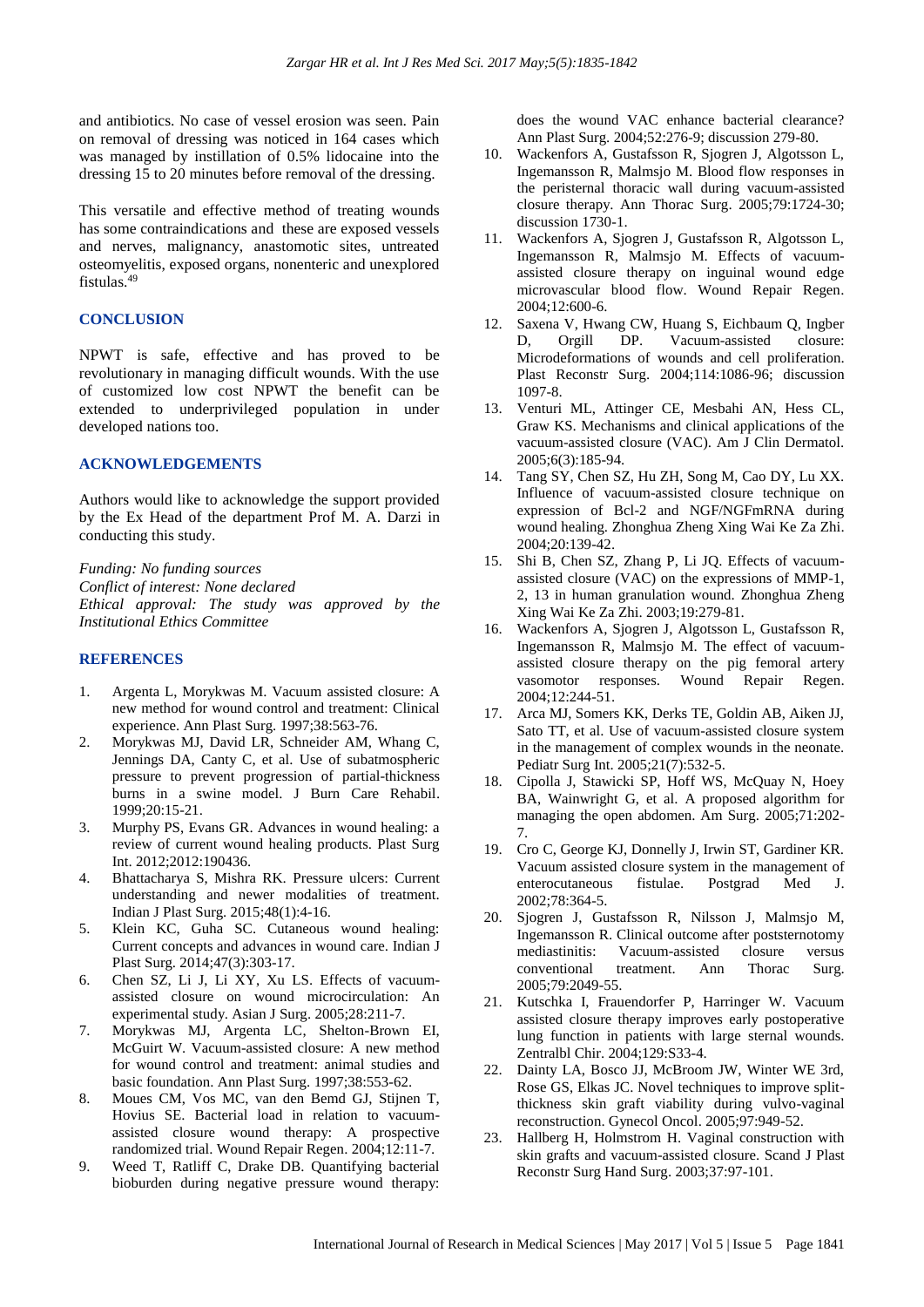and antibiotics. No case of vessel erosion was seen. Pain on removal of dressing was noticed in 164 cases which was managed by instillation of 0.5% lidocaine into the dressing 15 to 20 minutes before removal of the dressing.

This versatile and effective method of treating wounds has some contraindications and these are exposed vessels and nerves, malignancy, anastomotic sites, untreated osteomyelitis, exposed organs, nonenteric and unexplored fistulas. 49

#### **CONCLUSION**

NPWT is safe, effective and has proved to be revolutionary in managing difficult wounds. With the use of customized low cost NPWT the benefit can be extended to underprivileged population in under developed nations too.

#### **ACKNOWLEDGEMENTS**

Authors would like to acknowledge the support provided by the Ex Head of the department Prof M. A. Darzi in conducting this study.

*Funding: No funding sources Conflict of interest: None declared Ethical approval: The study was approved by the Institutional Ethics Committee*

#### **REFERENCES**

- 1. Argenta L, Morykwas M. Vacuum assisted closure: A new method for wound control and treatment: Clinical experience. Ann Plast Surg. 1997;38:563-76.
- 2. Morykwas MJ, David LR, Schneider AM, Whang C, Jennings DA, Canty C, et al. Use of subatmospheric pressure to prevent progression of partial-thickness burns in a swine model. J Burn Care Rehabil. 1999;20:15-21.
- Murphy PS, Evans GR. Advances in wound healing: a review of current wound healing products. Plast Surg Int. 2012;2012:190436.
- 4. Bhattacharya S, Mishra RK. Pressure ulcers: Current understanding and newer modalities of treatment. Indian J Plast Surg. 2015;48(1):4-16.
- 5. Klein KC, Guha SC. Cutaneous wound healing: Current concepts and advances in wound care. Indian J Plast Surg. 2014;47(3):303-17.
- 6. Chen SZ, Li J, Li XY, Xu LS. Effects of vacuumassisted closure on wound microcirculation: An experimental study. Asian J Surg. 2005;28:211-7.
- 7. Morykwas MJ, Argenta LC, Shelton-Brown EI, McGuirt W. Vacuum-assisted closure: A new method for wound control and treatment: animal studies and basic foundation. Ann Plast Surg. 1997;38:553-62.
- 8. Moues CM, Vos MC, van den Bemd GJ, Stijnen T, Hovius SE. Bacterial load in relation to vacuumassisted closure wound therapy: A prospective randomized trial. Wound Repair Regen. 2004;12:11-7.
- 9. Weed T, Ratliff C, Drake DB. Quantifying bacterial bioburden during negative pressure wound therapy:

does the wound VAC enhance bacterial clearance? Ann Plast Surg. 2004;52:276-9; discussion 279-80.

- 10. Wackenfors A, Gustafsson R, Sjogren J, Algotsson L, Ingemansson R, Malmsjo M. Blood flow responses in the peristernal thoracic wall during vacuum-assisted closure therapy. Ann Thorac Surg. 2005;79:1724-30; discussion 1730-1.
- 11. Wackenfors A, Sjogren J, Gustafsson R, Algotsson L, Ingemansson R, Malmsjo M. Effects of vacuumassisted closure therapy on inguinal wound edge microvascular blood flow. Wound Repair Regen. 2004;12:600-6.
- 12. Saxena V, Hwang CW, Huang S, Eichbaum Q, Ingber D, Orgill DP. Vacuum-assisted closure: Microdeformations of wounds and cell proliferation. Plast Reconstr Surg. 2004;114:1086-96; discussion 1097-8.
- 13. Venturi ML, Attinger CE, Mesbahi AN, Hess CL, Graw KS. Mechanisms and clinical applications of the vacuum-assisted closure (VAC). Am J Clin Dermatol. 2005;6(3):185-94.
- 14. Tang SY, Chen SZ, Hu ZH, Song M, Cao DY, Lu XX. Influence of vacuum-assisted closure technique on expression of Bcl-2 and NGF/NGFmRNA during wound healing. Zhonghua Zheng Xing Wai Ke Za Zhi. 2004;20:139-42.
- 15. Shi B, Chen SZ, Zhang P, Li JQ. Effects of vacuumassisted closure (VAC) on the expressions of MMP-1, 2, 13 in human granulation wound. Zhonghua Zheng Xing Wai Ke Za Zhi. 2003;19:279-81.
- 16. Wackenfors A, Sjogren J, Algotsson L, Gustafsson R, Ingemansson R, Malmsjo M. The effect of vacuumassisted closure therapy on the pig femoral artery vasomotor responses. Wound Repair Regen. 2004;12:244-51.
- 17. Arca MJ, Somers KK, Derks TE, Goldin AB, Aiken JJ, Sato TT, et al. Use of vacuum-assisted closure system in the management of complex wounds in the neonate. Pediatr Surg Int. 2005;21(7):532-5.
- 18. Cipolla J, Stawicki SP, Hoff WS, McQuay N, Hoey BA, Wainwright G, et al. A proposed algorithm for managing the open abdomen. Am Surg. 2005;71:202- 7.
- 19. Cro C, George KJ, Donnelly J, Irwin ST, Gardiner KR. Vacuum assisted closure system in the management of enterocutaneous fistulae. Postgrad Med J. 2002;78:364-5.
- 20. Sjogren J, Gustafsson R, Nilsson J, Malmsjo M, Ingemansson R. Clinical outcome after poststernotomy mediastinitis: Vacuum-assisted closure versus conventional treatment. Ann Thorac Surg. 2005;79:2049-55.
- 21. Kutschka I, Frauendorfer P, Harringer W. Vacuum assisted closure therapy improves early postoperative lung function in patients with large sternal wounds. Zentralbl Chir. 2004;129:S33-4.
- 22. Dainty LA, Bosco JJ, McBroom JW, Winter WE 3rd, Rose GS, Elkas JC. Novel techniques to improve splitthickness skin graft viability during vulvo-vaginal reconstruction. Gynecol Oncol. 2005;97:949-52.
- 23. Hallberg H, Holmstrom H. Vaginal construction with skin grafts and vacuum-assisted closure. Scand J Plast Reconstr Surg Hand Surg. 2003;37:97-101.